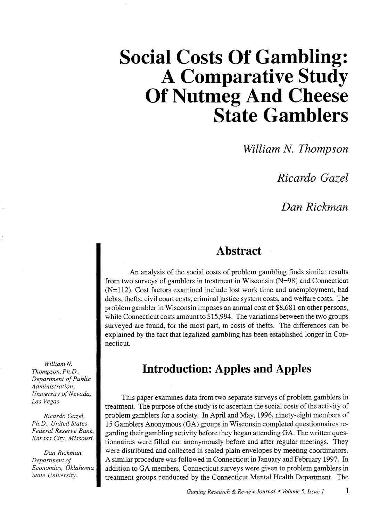# **Social Costs Of Gambling: A Comparative Study Of Nutmeg And Cheese State Gamblers**

*William N. Thompson* 

*Ricardo Gazel* 

*Dan Rickman* 

### **Abstract**

An analysis of the social costs of problem gambling finds similar results from two surveys of gamblers in treatment in Wisconsin (N=98) and Connecticut (N=112). Cost factors examined include lost work time and unemployment, bad debts, thefts, civil court costs, criminal justice system costs, and welfare costs. The problem gambler in Wisconsin imposes an annual cost of \$8,681 on other persons, while Connecticut costs amount to \$15,994. The variations between the two groups surveyed are found, for the most part, in costs of thefts. The differences can be explained by the fact that legalized gambling has been established longer in Connecticut.

## **Introduction: Apples and Apples**

This paper examines data from two separate surveys of problem gamblers in treatment. The purpose of the study is to ascertain the social costs of the activity of problem gamblers for a society. In April and May, 1996, ninety-eight members of 15 Gamblers Anonymous (GA) groups in Wisconsin completed questionnaires regarding their gambling activity before they began attending GA. The written questionnaires were filled out anonymously before and after regular meetings. They were distributed and collected in sealed plain envelopes by meeting coordinators. A similar procedure was followed in Connecticut in January and February 1997. In addition to GA members, Connecticut surveys were given to problem gamblers in treatment groups conducted by the Connecticut Mental Health Department. The

*WilliamN. Thompson, Ph.D., Department of Public Administration, University of Nevada, Las Vegas.* 

*Ricardo Gaze!, Ph.D., United States Federal Reserve Bank, Kansas City, Missouri.* 

*Dan Rickman, Department of Economics, Oklahoma State University.*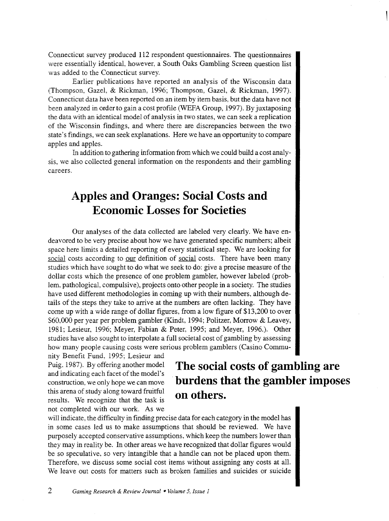Connecticut survey produced 112 respondent questionnaires. The questionnaires were essentially identical, however, a South Oaks Gambling Screen question list was added to the Connecticut survey.

Earlier publications have reported an analysis of the Wisconsin data (Thompson, Gazel, & Rickman, 1996; Thompson, Gazel, & Rickman, 1997). Connecticut data have been reported on an item by item basis, but the data have not been analyzed in order to gain a cost profile (WEFA Group, 1997). By juxtaposing the data with an identical model of analysis in two states, we can seek a replication of the Wisconsin findings, and where there are discrepancies between the two state's findings, we can seek explanations. Here we have an opportunity to compare apples and apples.

In addition to gathering information from which we could build a cost analysis, we also collected general information on the respondents and their gambling careers.

## **Apples and Oranges: Social Costs and Economic Losses for Societies**

Our analyses of the data collected are labeled very clearly. We have endeavored to be very precise about how we have generated specific numbers; albeit space here limits a detailed reporting of every statistical step. We are looking for social costs according to our definition of social costs. There have been many studies which have sought to do what we seek to do: give a precise measure of the dollar costs which the presence of one problem gambler, however labeled (problem, pathological, compulsive), projects onto other people in a society. The studies have used different methodologies in coming up with their numbers, although details of the steps they take to arrive at the numbers are often lacking. They have come up with a wide range of dollar figures, from a low figure of \$13,200 to over \$60,000 per year per problem gambler (Kindt, 1994; Politzer, Morrow & Leavey, 1981; Lesieur, 1996; Meyer, Fabian & Peter, 1995; and Meyer, 1996.). Other studies have also sought to interpolate a full societal cost of gambling by assessing how many people causing costs were serious problem gamblers (Casino Commu-

nity Benefit Fund, 1995; Lesieur and Puig, 1987). By offering another model and indicating each facet of the model's construction, we only hope we can move this arena of study along toward fruitful results. We recognize that the task is not completed with our work. As we

## **The social costs of gambling are burdens that the gambler imposes on others.**

will indicate, the difficulty in finding precise data for each category in the model has in some cases led us to make assumptions that should be reviewed. We have purposely accepted conservative assumptions, which keep the numbers lower than they may in reality be. In other areas we have recognized that dollar figures would be so speculative, so very intangible that a handle can not be placed upon them. Therefore, we discuss some social cost items without assigning any costs at all. We leave out costs for matters such as broken families and suicides or suicide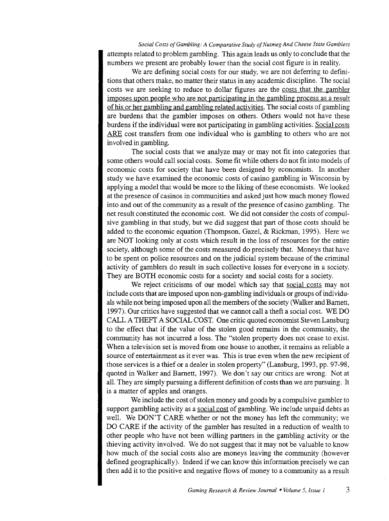*Social Costs of Gambling: A Comparative Study of Nutmeg And Cheese State Gamblers*  attempts related to problem gambling. This again leads us only to conclude that the numbers we present are probably lower than the social cost figure is in reality.

We are defining social costs for our study, we are not deferring to definitions that others make, no matter their status in any academic discipline. The social costs we are seeking to reduce to dollar figures are the costs that the gambler imposes upon people who are not participating in the gambling process as a result of his or her gambling and gambling related activities. The social costs of gambling are burdens that the gambler imposes on others. Others would not have these burdens if the individual were not participating in gambling activities. Social costs ARE cost transfers from one individual who is gambling to others who are not involved in gambling.

The social costs that we analyze may or may not fit into categories that some others would call social costs. Some fit while others do not fit into models of economic costs for society that have been designed by economists. In another study we have examined the economic costs of casino gambling in Wisconsin by applying a model that would be more to the liking of these economists. We looked at the presence of casinos in communities and asked just how much money flowed into and out of the community as a result of the presence of casino gambling. The net result constituted the economic cost. We did not consider the costs of compulsive gambling in that study, but we did suggest that part of those costs should be added to the economic equation (Thompson, Gazel, & Rickman, 1995). Here we are NOT looking only at costs which result in the loss of resources for the entire society, although some of the costs measured do precisely that. Moneys that have to be spent on police resources and on the judicial system because of the criminal activity of gamblers do result in such collective losses for everyone in a society. They are BOTH economic costs for a society and social costs for a society.

We reject criticisms of our model which say that social costs may not include costs that are imposed upon non-gambling individuals or groups of individuals while not being imposed upon all the members of the society (Walker and Barnett, 1997). Our critics have suggested that we cannot call a theft a social cost. WE DO CALL A THEFT A SOCIAL COST. One critic quoted economist Steven Lansburg to the effect that if the value of the stolen good remains in the community, the community has not incurred a loss. The "stolen property does not cease to exist. When a television set is moved from one house to another, it remains as reliable a source of entertainment as it ever was. This is true even when the new recipient of those services is a thief or a dealer in stolen property" (Lansburg, 1993, pp. 97-98, quoted in Walker and Barnett, 1997). We don't say our critics are wrong. Not at all. They are simply pursuing a different definition of costs than we are pursuing. It is a matter of apples and oranges.

We include the cost of stolen money and goods by a compulsive gambler to support gambling activity as a social cost of gambling. We include unpaid debts as well. We DON'T CARE whether or not the money has left the community; we DO CARE if the activity of the gambler has resulted in a reduction of wealth to other people who have not been willing partners in the gambling activity or the thieving activity involved. We do not suggest that it may not be valuable to know how much of the social costs also are moneys leaving the community (however defined geographically). Indeed if we can know this information precisely we can then add it to the positive and negative flows of money to a community as a result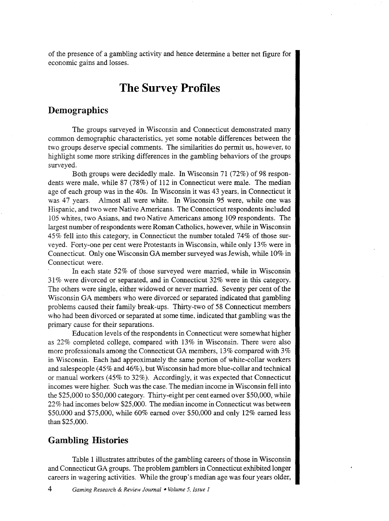of the presence of a gambling activity and hence determine a better net figure for economic gains and losses.

## **The Survey Profiles**

### **Demographics**

The groups surveyed in Wisconsin and Connecticut demonstrated many common demographic characteristics, yet some notable differences between the two groups deserve special comments. The similarities do permit us, however, to highlight some more striking differences in the gambling behaviors of the groups surveyed.

Both groups were decidedly male. In Wisconsin 71 (72%) of 98 respondents were male, while 87 (78%) of 112 in Connecticut were male. The median age of each group was in the 40s. In Wisconsin it was 43 years, in Connecticut it was 47 years. Almost all were white. In Wisconsin 95 were, while one was Hispanic, and two were Native Americans. The Connecticut respondents included 105 whites, two Asians, and two Native Americans among 109 respondents. The largest number of respondents were Roman Catholics, however, while in Wisconsin 45% fell into this category, in Connecticut the number totaled 74% of those surveyed. Forty-one per cent were Protestants in Wisconsin, while only 13% were in Connecticut. Only one Wisconsin GA member surveyed was Jewish, while 10% in Connecticut were.

In each state 52% of those surveyed were married, while in Wisconsin 31% were divorced or separated, and in Connecticut 32% were in this category. The others were single, either widowed or never married. Seventy per cent of the Wisconsin GA members who were divorced or separated indicated that gambling problems caused their family break-ups. Thirty-two of 58 Connecticut members who had been divorced or separated at some time, indicated that gambling was the primary cause for their separations.

Education levels of the respondents in Connecticut were somewhat higher as 22% completed college, compared with 13% in Wisconsin. There were also more professionals among the Connecticut GA members, 13% compared with 3% in Wisconsin. Each had approximately the same portion of white-collar workers and salespeople  $(45\%$  and  $46\%)$ , but Wisconsin had more blue-collar and technical or manual workers (45% to 32%). Accordingly, it was expected that Connecticut incomes were higher. Such was the case. The median income in Wisconsin fell into the \$25,000 to \$50,000 category. Thirty-eight per cent earned over \$50,000, while 22% had incomes below \$25,000. The median income in Connecticut was between \$50,000 and \$75,000, while 60% earned over \$50,000 and only 12% earned less than \$25,000.

### **Gambling Histories**

Table 1 illustrates attributes of the gambling careers of those in Wisconsin and Connecticut GA groups. The problem gamblers in Connecticut exhibited longer careers in wagering activities. While the group's median age was four years older,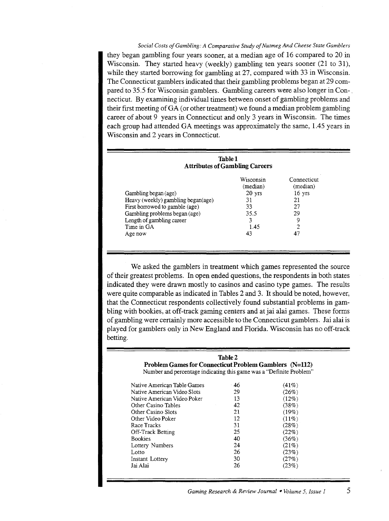*Social Costs of Gambling: A Comparative Study of Nutmeg And Cheese State Gamblers*  they began gambling four years sooner, at a median age of 16 compared to 20 in Wisconsin. They started heavy (weekly) gambling ten years sooner (21 to 31), while they started borrowing for gambling at 27, compared with 33 in Wisconsin. The Connecticut gamblers indicated that their gambling problems began at 29 compared to 35.5 for Wisconsin gamblers. Gambling careers were also longer in Con-. necticut. By examining individual times between onset of gambling problems and their first meeting of GA (or other treatment) we found a median problem gambling career of about 9 years in Connecticut and only 3 years in Wisconsin. The times each group had attended GA meetings was approximately the same, 1.45 years in Wisconsin and 2 years in Connecticut.

| <b>Table 1</b><br><b>Attributes of Gambling Careers</b> |                       |                         |  |
|---------------------------------------------------------|-----------------------|-------------------------|--|
|                                                         | Wisconsin<br>(median) | Connecticut<br>(median) |  |
| Gambling began (age)                                    | $20$ yrs              | $16$ yrs                |  |
| Heavy (weekly) gambling began(age)                      | 31                    | 21                      |  |
| First borrowed to gamble (age)                          | 33                    | 27                      |  |
| Gambling problems began (age)                           | 35.5                  | 29                      |  |
| Length of gambling career                               | 3                     | 9                       |  |
| Time in GA                                              | 1.45                  | 2                       |  |
| Age now                                                 | 43                    | 47                      |  |

We asked the gamblers in treatment which games represented the source of their greatest problems. In open ended questions, the respondents in both states indicated they were drawn mostly to casinos and casino type games. The results were quite comparable as indicated in Tables 2 and 3. It should be noted, however, that the Connecticut respondents collectively found substantial problems in gambling with bookies, at off-track gaming centers and at jai alai games. These forms of gambling were certainly more accessible to the Connecticut gamblers. Jai alai is played for gamblers only in New England and Florida. Wisconsin has no off-track betting.

| Table 2<br>Problem Games for Connecticut Problem Gamblers (N=112)<br>Number and percentage indicating this game was a "Definite Problem" |    |          |  |  |
|------------------------------------------------------------------------------------------------------------------------------------------|----|----------|--|--|
| Native American Table Games                                                                                                              | 46 | $(41\%)$ |  |  |
| Native American Video Slots                                                                                                              | 29 | (26%)    |  |  |
| Native American Video Poker                                                                                                              | 13 | $(12\%)$ |  |  |
| Other Casino Tables                                                                                                                      | 42 | (38%)    |  |  |
| Other Casino Slots                                                                                                                       | 21 | $(19\%)$ |  |  |
| Other Video Poker                                                                                                                        | 12 | $(11\%)$ |  |  |
| Race Tracks                                                                                                                              | 31 | (28%)    |  |  |
| Off-Track Betting                                                                                                                        | 25 | (22%)    |  |  |
| <b>Bookies</b>                                                                                                                           | 40 | (36%)    |  |  |
| Lottery Numbers                                                                                                                          | 24 | $(21\%)$ |  |  |
| Lotto                                                                                                                                    | 26 | (23%)    |  |  |
| Instant Lottery                                                                                                                          | 30 | (27%)    |  |  |
| Jai Alai                                                                                                                                 | 26 | (23%)    |  |  |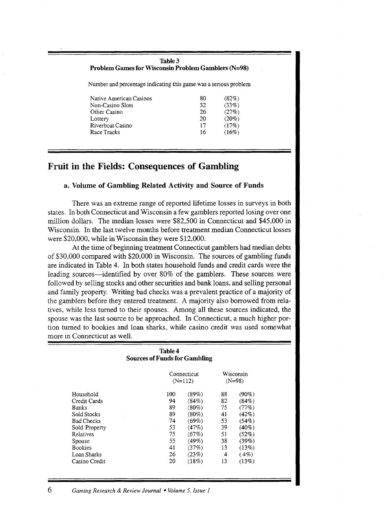| Table 3<br><b>Problem Games for Wisconsin Problem Gamblers (N=98)</b> |    |          |  |  |  |
|-----------------------------------------------------------------------|----|----------|--|--|--|
| Number and percentage indicating this game was a serious problem      |    |          |  |  |  |
| Native American Casinos                                               | 80 | (82%)    |  |  |  |
| Non-Casino Slots                                                      | 32 | (33%)    |  |  |  |
| Other Casino                                                          | 26 | (27%)    |  |  |  |
| Lottery                                                               | 20 | $(20\%)$ |  |  |  |
| Riverboat Casino                                                      | 17 | (17%)    |  |  |  |
| Race Tracks                                                           | 16 | $(16\%)$ |  |  |  |

### Fruit in the Fields: Consequences of Gambling

#### a. Volume of Gambling Related Activity and Source of Funds

There was an extreme range of reported lifetime losses in surveys in both states. In both Connecticut and Wisconsin a few gamblers reported losing over one million dollars. The median losses were \$82,500 in Connecticut and \$45,000 in Wisconsin. In the last twelve months before treatment median Connecticut losses were \$20,000, while in Wisconsin they were \$12,000.

At the time of beginning treatment Connecticut gamblers had median debts of \$30,000 compared with \$20,000 in Wisconsin. The sources of gambling funds are indicated in Table 4. In both states household funds and credit cards were the leading sources—identified by over 80% of the gamblers. These sources were followed by selling stocks and other securities and bank loans, and selling personal and family property. Writing bad checks was a prevalent practice of a majority of the gamblers before they entered treatment. A majority also borrowed from relatives, while less turned to their spouses. Among all these sources indicated, the spouse was the last source to be approached. In Connecticut, a much higher portion turned to bookies and loan sharks, while casino credit was used somewhat more in Connecticut as well.

| Table 4<br><b>Sources of Funds for Gambling</b> |                          |          |    |                       |  |
|-------------------------------------------------|--------------------------|----------|----|-----------------------|--|
|                                                 | Connecticut<br>$(N=112)$ |          |    | Wisconsin<br>$(N=98)$ |  |
| Household                                       | 100                      | (89%)    | 88 | $(90\%)$              |  |
| Credit Cards                                    | 94                       | (84%)    | 82 | (84%)                 |  |
| <b>Banks</b>                                    | 89                       | $(80\%)$ | 75 | (77%)                 |  |
| Sold Stocks                                     | 89                       | $(80\%)$ | 41 | (42%)                 |  |
| <b>Bad Checks</b>                               | 74                       | $(69\%)$ | 53 | (54%)                 |  |
| Sold Property                                   | 53                       | (47%)    | 39 | $(40\%)$              |  |
| Relatives                                       | 75                       | (67%)    | 51 | (52%)                 |  |
| Spouse                                          | 55                       | $(49\%)$ | 38 | (39%)                 |  |
| <b>Bookies</b>                                  | 41                       | (37%)    | 13 | (13%)                 |  |
| Loan Sharks                                     | 26                       | (23%)    | 4  | (4%)                  |  |
| Casino Credit                                   | 20                       | $(18\%)$ | 13 | (13%)                 |  |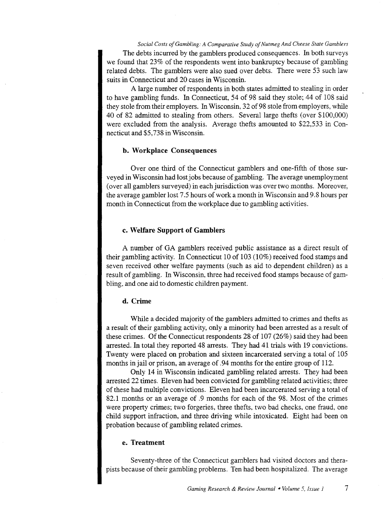*Social Costs of Gambling: A Comparative Study of Nutmeg And Cheese State Gamblers*  The debts incurred by the gamblers produced consequences. In both surveys we found that 23% of the respondents went into bankruptcy because of gambling related debts. The gamblers were also sued over debts. There were 53 such law suits in Connecticut and 20 cases in Wisconsin.

A large number of respondents in both states admitted to stealing in order to have gambling funds. In Connecticut, 54 of 98 said they stole; 44 of 108 said they stole from their employers. In Wisconsin, 32 of 98 stole from employers, while 40 of 82 admitted to stealing from others. Several large thefts (over \$100,000) were excluded from the analysis. Average thefts amounted to \$22,533 in Connecticut and \$5,738 in Wisconsin.

#### b. Workplace Consequences

Over one third of the Connecticut gamblers and one-fifth of those surveyed in Wisconsin had lost jobs because of gambling. The average unemployment (over all gamblers surveyed) in each jurisdiction was over two months. Moreover, the average gambler lost 7.5 hours of work a month in Wisconsin and 9.8 hours per month in Connecticut from the workplace due to gambling activities.

#### c. Welfare Support of Gamblers

A number of GA gamblers received public assistance as a direct result of their gambling activity. In Connecticut 10 of 103 (10%) received food stamps and seven received other welfare payments (such as aid to dependent children) as a result of gambling. In Wisconsin, three had received food stamps because of gambling, and one aid to domestic children payment.

#### d. Crime

While a decided majority of the gamblers admitted to crimes and thefts as a result of their gambling activity, only a minority had been arrested as a result of these crimes. Of the Connecticut respondents 28 of 107 (26%) said they had been arrested. In total they reported 48 arrests. They had 41 trials with 19 convictions. Twenty were placed on probation and sixteen incarcerated serving a total of 105 months in jail or prison, an average of .94 months for the entire group of 112.

Only 14 in Wisconsin indicated gambling related arrests. They had been arrested 22 times. Eleven had been convicted for gambling related activities; three of these had multiple convictions. Eleven had been incarcerated serving a total of 82.1 months or an average of .9 months for each of the 98. Most of the crimes were property crimes; two forgeries, three thefts, two bad checks, one fraud, one child support infraction, and three driving while intoxicated. Eight had been on probation because of gambling related crimes.

#### e. Treatment

Seventy-three of the Connecticut gamblers had visited doctors and therapists because of their gambling problems. Ten had been hospitalized. The average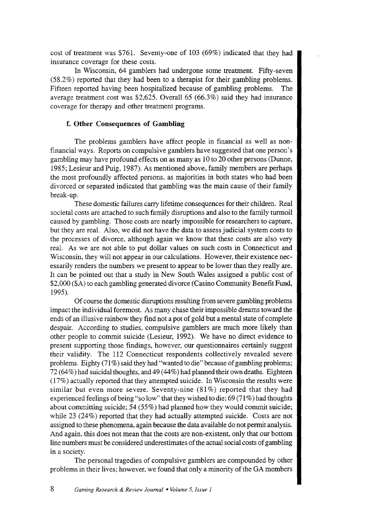cost of treatment was \$761. Seventy-one of 103 (69%) indicated that they had insurance coverage for these costs.

In Wisconsin, 64 gamblers had undergone some treatment. Fifty-seven (58.2%) reported that they had been to a therapist for their gambling problems. Fifteen reported having been hospitalized because of gambling problems. The average treatment cost was \$2,625. Overall 65 (66.3%) said they had insurance coverage for therapy and other treatment programs.

#### **f. Other Consequences of Gambling**

The problems gamblers have affect people in financial as well as nonfinancial ways. Reports on compulsive gamblers have suggested that one person's gambling may have profound effects on as many as 10 to 20 other persons (Dunne, 1985; Lesieur and Puig, 1987). As mentioned above, family members are perhaps the most profoundly affected persons, as majorities in both states who had been divorced or separated indicated that gambling was the main cause of their family break-up.

These domestic failures carry lifetime consequences for their children. Real societal costs are attached to such family disruptions and also to the family turmoil caused by gambling. Those costs are nearly impossible for researchers to capture, but they are real. Also, we did not have the data to assess judicial system costs to the processes of divorce, although again we know that these costs are also very real. As we are not able to put dollar values on such costs in Connecticut and Wisconsin, they will not appear in our calculations. However, their existence necessarily renders the numbers we present to appear to be lower than they really are. It can be pointed out that a study in New South Wales assigned a public cost of \$2,000 (\$A) to each gambling generated divorce (Casino Community Benefit Fund, 1995).

Of course the domestic disruptions resulting from severe gambling problems impact the individual foremost. As many chase their impossible dreams toward the ends of an illusive rainbow they find not a pot of gold but a mental state of complete despair. According to studies, compulsive gamblers are much more likely than other people to commit suicide (Lesieur, 1992). We have no direct evidence to present supporting those findings, however, our questionnaires certainly suggest their validity. The 112 Connecticut respondents collectively revealed severe problems. Eighty (71%) said they had "wanted to die" because of gambling problems; 72 (64%) had suicidal thoughts, and 49 ( 44%) had planned their own deaths. Eighteen (17%) actually reported that they attempted suicide. In Wisconsin the results were similar but even more severe. Seventy-nine (81%) reported that they had experienced feelings of being "so low" that they wished to die; 69 (71%) had thoughts about committing suicide; 54 (55%) had planned how they would commit suicide; while 23 (24%) reported that they had actually attempted suicide. Costs are not assigned to these phenomena, again because the data available do not permit analysis. And again, this does not mean that the costs are non-existent, only that our bottom line numbers must be considered underestimates of the actual social costs of gambling in a society.

The personal tragedies of compulsive gamblers are compounded by other problems in their lives; however, we found that only a minority of the GA members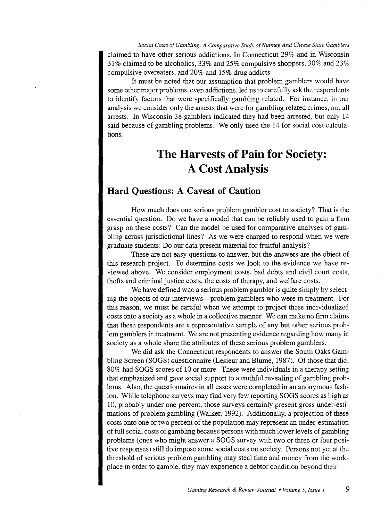*Social Costs of Gambling: A Comparative Study of Nutmeg And Cheese State Gamblers*  claimed to have other serious addictions. In Connecticut 29% and in Wisconsin 31% claimed to be alcoholics, 33% and 25% compulsive shoppers, 30% and 23% compulsive overeaters, and 20% and 15% drug addicts.

It must be noted that our assumption that problem gamblers would have some other major problems, even addictions, led us to carefully ask the respondents to identify factors that were specifically gambling related. For instance, in our analysis we consider only the arrests that were for gambling related crimes, not all arrests. In Wisconsin 38 gamblers indicated they had been arrested, but only 14 said because of gambling problems. We only used the 14 for social cost calculations.

## **The Harvests of Pain for Society: A Cost Analysis**

### **Hard Questions: A Caveat of Caution**

How much does one serious problem gambler cost to society? That is the essential question. Do we have a model that can be reliably used to gain a firm grasp on these costs? Can the model be used for comparative analyses of gambling across jurisdictional lines? As we were charged to respond when we were graduate students: Do our data present material for fruitful analysis?

These are not easy questions to answer, but the answers are the object of this research project. To determine costs we look to the evidence we have reviewed above. We consider employment costs, bad debts and civil court costs, thefts and criminal justice costs, the costs of therapy, and welfare costs.

We have defined who a serious problem gambler is quite simply by selecting the objects of our interviews---problem gamblers who were in treatment. For this reason, we must be careful when we attempt to project these individualized costs onto a society as a whole in a collective manner. We can make no firm claims that these respondents are a representative sample of any but other serious problem gamblers in treatment. We are not presenting evidence regarding how many in society as a whole share the attributes of these serious problem gamblers.

We did ask the Connecticut respondents to answer the South Oaks Gambling Screen (SOGS) questionnaire (Lesieur and Blume, 1987). Of those that did, 80% had SOGS scores of 10 or more. These were individuals in a therapy setting that emphasized and gave social support to a truthful revealing of gambling problems. Also, the questionnaires in all cases were completed in an anonymous fashion. While telephone surveys may find very few reporting SOGS scores as high as 10, probably under one percent, those surveys certainly present gross under-estimations of problem gambling (Walker, 1992). Additionally, a projection of these costs onto one or two percent of the population may represent an under-estimation of full social costs of gambling because persons with much lower levels of gambling problems (ones who might answer a SOGS survey with two or three or four positive responses) still do impose some social costs on society. Persons not yet at the threshold of serious problem gambling may steal time and money from the workplace in order to gamble, they may experience a debtor condition beyond their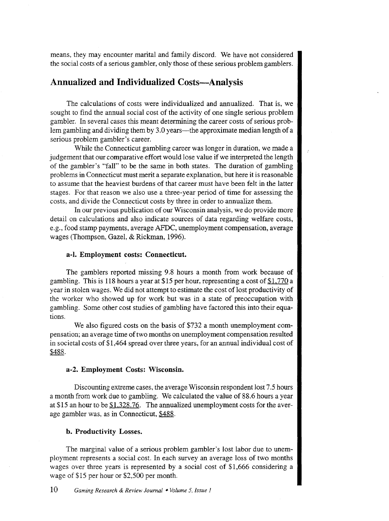means, they may encounter marital and family discord. We have not considered the social costs of a serious gambler, only those of these serious problem gamblers.

### **Annualized and Individualized Costs-Analysis**

The calculations of costs were individualized and annualized. That is, we sought to find the annual social cost of the activity of one single serious problem gambler. In several cases this meant determining the career costs of serious problem gambling and dividing them by 3.0 years—the approximate median length of a serious problem gambler's career.

While the Connecticut gambling career was longer in duration, we made a judgement that our comparative effort would lose value if we interpreted the length of the gambler's "fall" to be the same in both states. The duration of gambling problems in Connecticut must merit a separate explanation, but here it is reasonable to assume that the heaviest burdens of that career must have been felt in the latter stages. For that reason we also use a three-year period of time for assessing the costs, and divide the Connecticut costs by three in order to annualize them.

In our previous publication of our Wisconsin analysis, we do provide more detail on calculations and also indicate sources of data regarding welfare costs, e.g., food stamp payments, average AFDC, unemployment compensation, average wages (Thompson, Gazel, & Rickman, 1996).

#### **a-1. Employment costs: Connecticut.**

The gamblers reported missing 9.8 hours a month from work because of gambling. This is 118 hours a year at \$15 per hour, representing a cost of  $$1,770$  a year in stolen wages. We did not attempt to estimate the cost of lost productivity of the worker who showed up for work but was in a state of preoccupation with gambling. Some other cost studies of gambling have factored this into their equations.

We also figured costs on the basis of \$732 a month unemployment compensation; an average time of two months on unemployment compensation resulted in societal costs of \$1,464 spread over three years, for an annual individual cost of \$488.

#### **a-2. Employment Costs: Wisconsin.**

Discounting extreme cases, the average Wisconsin respondent lost 7.5 hours a month from work due to gambling. We calculated the value of 88.6 hours a year at \$15 an hour to be  $$1.328.76$ . The annualized unemployment costs for the average gambler was, as in Connecticut, \$488.

#### **b. Productivity Losses.**

The marginal value of a serious problem gambler's lost labor due to unemployment represents a social cost. In each survey an average loss of two months wages over three years is represented by a social cost of \$1,666 considering a wage of \$15 per hour or \$2,500 per month.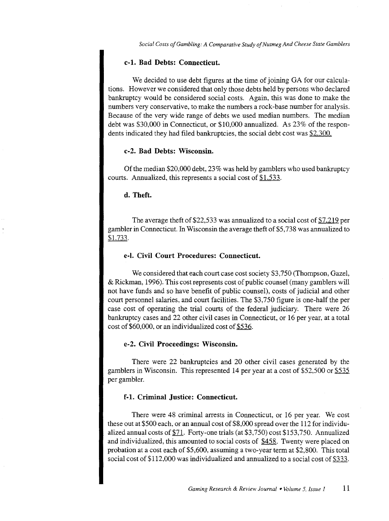*Social Costs of Gambling: A Comparative Study of Nutmeg And Cheese State Gamblers* 

#### **c-1. Bad Debts: Connecticut.**

We decided to use debt figures at the time of joining GA for our calculations. However we considered that only those debts held by persons who declared bankruptcy would be considered social costs. Again, this was done to make the numbers very conservative, to make the numbers a rock-base number for analysis. Because of the very wide range of debts we used median numbers. The median debt was \$30,000 in Connecticut, or \$10,000 annualized. As 23% of the respondents indicated they had filed bankruptcies, the social debt cost was \$2.300.

#### **c-2. Bad Debts: Wisconsin.**

Of the median \$20,000 debt, 23% was held by gamblers who used bankruptcy courts. Annualized, this represents a social cost of \$1,533.

#### **d. Theft.**

The average theft of \$22,533 was annualized to a social cost of  $$7,219$  per gambler in Connecticut. In Wisconsin the average theft of \$5,738 was annualized to \$1.733.

#### **e-1. Civil Court Procedures: Connecticut.**

We considered that each court case cost society \$3,750 (Thompson, Gazel, & Rickman, 1996). This cost represents cost of public counsel (many gamblers will not have funds and so have benefit of public counsel), costs of judicial and other court personnel salaries, and court facilities. The \$3,750 figure is one-half the per case cost of operating the trial courts of the federal judiciary. There were 26 bankruptcy cases and 22 other civil cases in Connecticut, or 16 per year, at a total cost of \$60,000, or an individualized cost of \$536.

#### e-2. **Civil Proceedings: Wisconsin.**

There were 22 bankruptcies and 20 other civil cases generated by the gamblers in Wisconsin. This represented 14 per year at a cost of \$52,500 or \$535 per gambler.

#### **f-1. Criminal Justice: Connecticut.**

There were 48 criminal arrests in Connecticut, or 16 per year. We cost these out at \$500 each, or an annual cost of \$8,000 spread over the 112 for individualized annual costs of  $$71$ . Forty-one trials (at \$3,750) cost \$153,750. Annualized and individualized, this amounted to social costs of \$458. Twenty were placed on probation at a cost each of \$5,600, assuming a two-year term at \$2,800. This total social cost of \$112,000 was individualized and annualized to a social cost of \$333.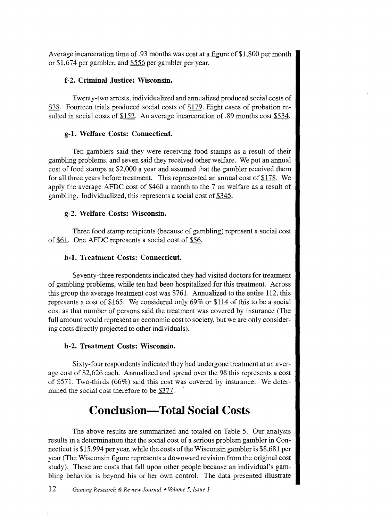Average incarceration time of .93 months was cost at a figure of \$1,800 per month or \$1,674 per gambler, and \$556 per gambler per year.

#### f-2. Criminal Justice: Wisconsin.

Twenty-two arrests, individualized and annualized produced social costs of \$38. Fourteen trials produced social costs of \$179. Eight cases of probation resulted in social costs of \$152. An average incarceration of .89 months cost \$534.

#### g-1. Welfare Costs: Connecticut.

Ten gamblers said they were receiving food stamps as a result of their gambling problems, and seven said they received other welfare. We put an annual cost of food stamps at \$2,000 a year and assumed that the gambler received them for all three years before treatment. This represented an annual cost of \$178. We apply the average AFDC cost of \$460 a month to the 7 on welfare as a result of gambling. Individualized, this represents a social cost of \$345.

#### g-2. Welfare Costs: Wisconsin.

Three food stamp recipients (because of gambling) represent a social cost of \$61. One AFDC represents a social cost of \$56.

#### h-1. Treatment Costs: Connecticut.

Seventy-three respondents indicated they had visited doctors for treatment of gambling problems, while ten had been hospitalized for this treatment. Across this group the average treatment cost was \$761. Annualized to the entire 112, this represents a cost of \$165. We considered only 69% or \$114 of this to be a social cost as that number of persons said the treatment was covered by insurance (The full amount would represent an economic cost to society, but we are only considering costs directly projected to other individuals).

#### h-2. Treatment Costs: Wisconsin.

Sixty-four respondents indicated they had undergone treatment at an average cost of \$2,626 each. Annualized and spread over the 98 this represents a cost of \$571. Two-thirds (66%) said this cost was covered by insurance. We determined the social cost therefore to be \$377.

## **Conclusion-Total Social Costs**

The above results are summarized and totaled on Table 5. Our analysis results in a determination that the social cost of a serious problem gambler in Connecticut is \$15,994 per year, while the costs of the Wisconsin gambler is \$8,681 per year (The Wisconsin figure represents a downward revision from the original cost study). These are costs that fall upon other people because an individual's gambling behavior is beyond his or her own control. The data presented illustrate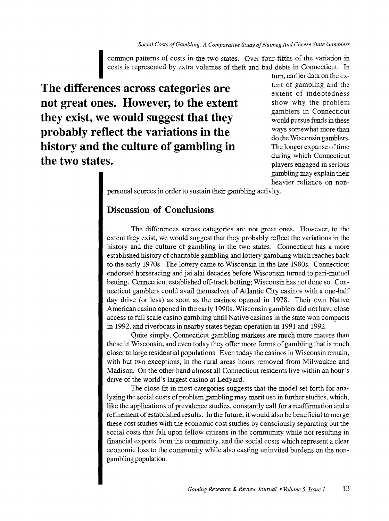*Social Costs of Gambling: A Comparative Study of Nutmeg And Cheese State Gamblers* 

I common patterns of costs in the two states. Over four-fifths of the variation in costs is represented by extra volumes of theft and bad debts in Connecticut. In turn, earlier data on the ex-<br>tent of gambling and the costs is represented by extra volumes of theft and bad debts in Connecticut. In

**The differences across categories are not great ones. However, to the extent they exist, we would suggest that they probably reflect the variations in the history and the culture of gambling in the two states.** 

tum, earlier data on the extent of gambling and the extent of indebtedness show why the problem gamblers in Connecticut would pursue funds in these ways somewhat more than do the Wisconsin gamblers. The longer expanse of time during which Connecticut players engaged in serious gambling may explain their heavier reliance on non-

personal sources in order to sustain their gambling activity.

### **Discussion of Conclusions**

The differences across categories are not great ones. However, to the extent they exist, we would suggest that they probably reflect the variations in the history and the culture of gambling in the two states. Connecticut has a more established history of charitable gambling and lottery gambling which reaches back to the early 1970s. The lottery came to Wisconsin in the late 1980s. Connecticut endorsed horseracing and jai alai decades before Wisconsin turned to pari-mutuel betting. Connecticut established off-track betting; Wisconsin has not done so. Connecticut gamblers could avail themselves of Atlantic City casinos with a one-half day drive (or less) as soon as the casinos opened in 1978. Their own Native .American casino opened in the early 1990s. Wisconsin gamblers did not have close access to full scale casino gambling until Native casinos in the state won compacts in 1992, and riverboats in nearby states began operation in 1991 and 1992.

Quite simply, Connecticut gambling markets are much more mature than those in Wisconsin, and even today they offer more forms of gambling that is much closer to large residential populations. Even today the casinos in Wisconsin remain, with but two exceptions, in the rural areas hours removed from Milwaukee and Madison. On the other hand almost all Connecticut residents live within an hour's drive of the world's largest casino at Ledyard.

The close fit in most categories suggests that the model set forth for analyzing the social costs of problem gambling may merit use in further studies, which, like the applications of prevalence studies, constantly call for a reaffirmation and a refinement of established results. In the future, it would also be beneficial to merge these cost studies with the economic cost studies by consciously separating out the social costs that fall upon fellow citizens in the community while not resulting in financial exports from the community, and the social costs which represent a clear economic loss to the community while also casting uninvited burdens on the nongambling population.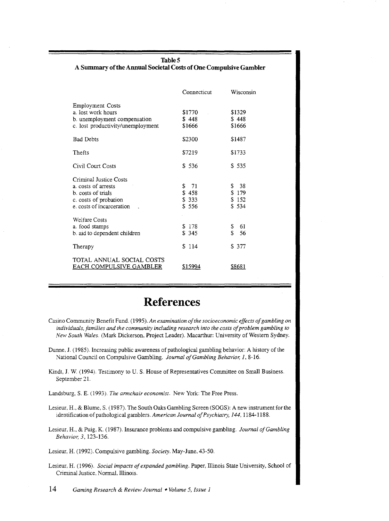**A Summary of the Annual Societal Costs of One Compulsive Gambler** 

|                                                                                                                           | Connecticut                         | Wisconsin                            |
|---------------------------------------------------------------------------------------------------------------------------|-------------------------------------|--------------------------------------|
| <b>Employment Costs</b><br>a. lost work hours<br>b. unemployment compensation<br>c. lost productivity/unemployment        | \$1770<br>\$448<br>\$1666           | \$1329<br>\$448<br>\$1666            |
| <b>Bad Debts</b>                                                                                                          | \$2300                              | \$1487                               |
| Thefts                                                                                                                    | \$7219                              | \$1733                               |
| Civil Court Costs                                                                                                         | \$536                               | \$535                                |
| Criminal Justice Costs<br>a. costs of arrests<br>b. costs of trials<br>c. costs of probation<br>e. costs of incarceration | 71<br>\$<br>\$458<br>\$333<br>\$556 | - 38<br>S<br>\$179<br>\$152<br>\$534 |
| <b>Welfare Costs</b><br>a. food stamps<br>b. aid to dependent children                                                    | \$178<br>\$345                      | 61<br>\$<br>\$<br>56                 |
| Therapy                                                                                                                   | \$114                               | \$ 377                               |
| TOTAL ANNUAL SOCIAL COSTS<br>EACH COMPULSIVE GAMBLER                                                                      | \$15994                             | \$8681                               |

## **References**

- Casino Community Benefit Fund. (1995). *An examination of the socioeconomic effects of gambling on individuals, families and the community including research into the costs of problem gambling to New South Wales.* (Mark Dickerson, Project Leader). Macarthur: University of Western Sydney.
- Dunne, **J.** (1985). Increasing public awareness of pathological gambling behavior: A history of the National Council on Compulsive Gambling. *Journal of Gambling Behavior, I,* 8-16.
- Kindt, **J.** W. (1994). Testimony to U.S. House of Representatives Committee on Small Business. September 21.
- Lands burg, S. E. (1993 ). *The armchair economist.* New York: The Free Press.
- Lesieur, H., & Blume, S. (1987). The South Oaks Gambling Screen (SOGS): A new instrument for the identification of pathological gamblers. *American Journal of Psychiatry, I44,* 1184-1188.
- Lesieur, H., & Puig, K. (1987). Insurance problems and compulsive gambling. *Journal of Gambling Behavior, 3,* 123-136.

Lesieur, H. (1992). Compulsive gambling. *Society.* May-June, 43-50.

Lesieur. H. (1996). *Social impacts of expanded gambling.* Paper, lllinois State University, School of Criminal Justice, Normal, Illinois.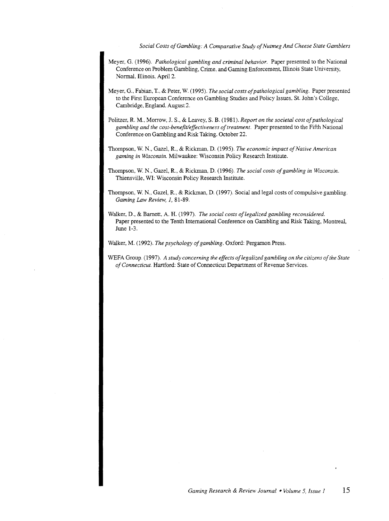*Social Costs of Gambling: A Comparative Study of Nutmeg And Cheese State Gamblers* 

- Meyer, G. (1996). *Pathological gambling and criminal behavior.* Paper presented to the National Conference on Problem Gambling, Crime, and Gaming Enforcement, illinois State University, Normal, Illinois, April2.
- Meyer, G., Fabian, T., & Peter, W. (1995). *The social costs of pathological gambling.* Paper presented to the First European Conference on Gambling Studies and Policy Issues, St. John's College, Cambridge. England. August 2.
- Politzer, R. M., Morrow, J. S., & Leavey, S. B. (1981). *Report on the societal cost of pathological gambling and the cost-benefit/effectiveness of treatment.* Paper presented to the Fifth National Conference on Gambling and Risk Taking. October 22.
- Thompson, W. N., Gaze!, R., & Rickman, D. (1995). *The economic impact of Native American gaming* in *Wisconsin.* Milwaukee: Wisconsin Policy Research Institute.
- Thompson, W. N., Gaze!, R., & Rickman, D. (1996). *The social costs of gambling in Wisconsin.*  Thiensville, WI: Wisconsin Policy Research Institute.
- Thompson, W. N., Gaze!, R., & Rickman, D. (1997). Social and legal costs of compulsive gambling. *Gaming Law Review, I,* 81-89.
- Walker, D., & Barnett, A. H. (1997). *The social costs of legalized gambling reconsidered.*  Paper presented to the Tenth International Conference on Gambling and Risk Taking, Montreal, June 1-3.

Walker, M. ( 1992). *The psychology of gambling.* Oxford: Pergamon Press.

WEFA Group. ( 1997). *A study concerning the effects of legalized gambling on the citizens of the State of Connecticut.* Hartford: State of Connecticut Department of Revenue Services.